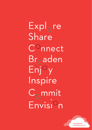Expl<sub>o</sub>re Share Connect  $Br<sub>o</sub>aden$  $Enj^{\circ}y$ Inspire  $C_{\cap}$ mmit Envisi<sup>o</sup>n

> Witte de With **Contemporary Art**